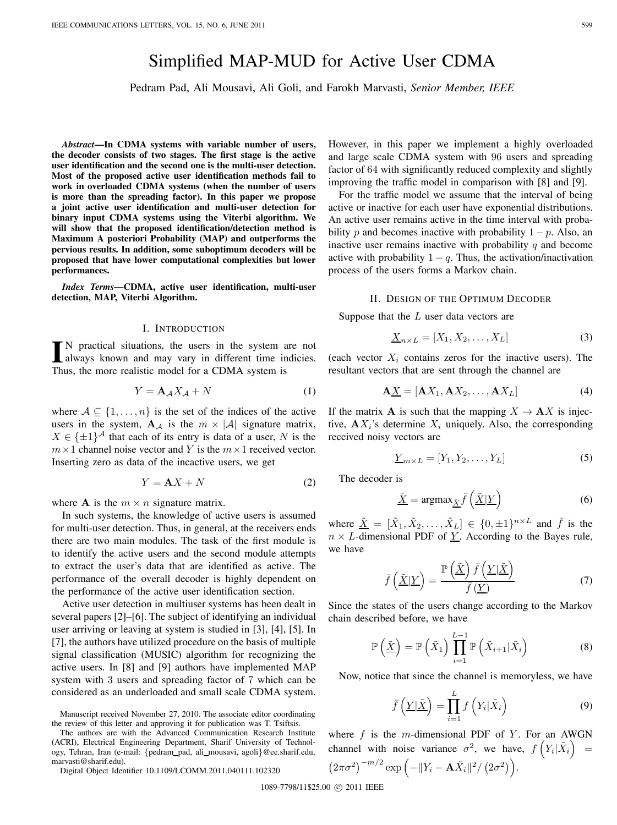# Simplified MAP-MUD for Active User CDMA

Pedram Pad, Ali Mousavi, Ali Goli, and Farokh Marvasti, *Senior Member, IEEE*

*Abstract***—In CDMA systems with variable number of users, the decoder consists of two stages. The first stage is the active user identification and the second one is the multi-user detection. Most of the proposed active user identification methods fail to work in overloaded CDMA systems (when the number of users is more than the spreading factor). In this paper we propose a joint active user identification and multi-user detection for binary input CDMA systems using the Viterbi algorithm. We will show that the proposed identification/detection method is Maximum A posteriori Probability (MAP) and outperforms the pervious results. In addition, some suboptimum decoders will be proposed that have lower computational complexities but lower performances.**

*Index Terms***—CDMA, active user identification, multi-user detection, MAP, Viterbi Algorithm.**

#### I. INTRODUCTION

IN practical situations, the users in the system are not always known and may vary in different time indicies. always known and may vary in different time indicies. Thus, the more realistic model for a CDMA system is

$$
Y = \mathbf{A}_{\mathcal{A}} X_{\mathcal{A}} + N \tag{1}
$$

where  $A \subseteq \{1, \ldots, n\}$  is the set of the indices of the active users in the system,  $\mathbf{A}_{\mathcal{A}}$  is the  $m \times |\mathcal{A}|$  signature matrix,  $X \in {\pm 1}^{\mathcal{A}}$  that each of its entry is data of a user, N is the  $m \times 1$  channel noise vector and Y is the  $m \times 1$  received vector. Inserting zero as data of the incactive users, we get

$$
Y = \mathbf{A}X + N \tag{2}
$$

where **A** is the  $m \times n$  signature matrix.

In such systems, the knowledge of active users is assumed for multi-user detection. Thus, in general, at the receivers ends there are two main modules. The task of the first module is to identify the active users and the second module attempts to extract the user's data that are identified as active. The performance of the overall decoder is highly dependent on the performance of the active user identification section.

Active user detection in multiuser systems has been dealt in several papers [2]–[6]. The subject of identifying an individual user arriving or leaving at system is studied in [3], [4], [5]. In [7], the authors have utilized procedure on the basis of multiple signal classification (MUSIC) algorithm for recognizing the active users. In [8] and [9] authors have implemented MAP system with 3 users and spreading factor of 7 which can be considered as an underloaded and small scale CDMA system.

Digital Object Identifier 10.1109/LCOMM.2011.040111.102320

However, in this paper we implement a highly overloaded and large scale CDMA system with 96 users and spreading factor of 64 with significantly reduced complexity and slightly improving the traffic model in comparison with [8] and [9].

For the traffic model we assume that the interval of being active or inactive for each user have exponential distributions. An active user remains active in the time interval with probability p and becomes inactive with probability  $1 - p$ . Also, an inactive user remains inactive with probability  $q$  and become active with probability  $1 - q$ . Thus, the activation/inactivation process of the users forms a Markov chain.

#### II. DESIGN OF THE OPTIMUM DECODER

Suppose that the  $L$  user data vectors are

$$
\underline{X}_{n \times L} = [X_1, X_2, \dots, X_L]
$$
 (3)

(each vector  $X_i$  contains zeros for the inactive users). The resultant vectors that are sent through the channel are

$$
\mathbf{A}\underline{X} = [\mathbf{A}X_1, \mathbf{A}X_2, \dots, \mathbf{A}X_L]
$$
 (4)

If the matrix **A** is such that the mapping  $X \to AX$  is injective,  $AX_i$ 's determine  $X_i$  uniquely. Also, the corresponding received noisy vectors are

$$
\underline{Y}_{m \times L} = [Y_1, Y_2, \dots, Y_L]
$$
 (5)

The decoder is

$$
\hat{\underline{X}} = \operatorname{argmax}_{\underline{\tilde{X}}} \bar{f}\left(\underline{\tilde{X}} | \underline{Y}\right) \tag{6}
$$

where  $\tilde{X} = [\tilde{X}_1, \tilde{X}_2, \dots, \tilde{X}_L] \in \{0, \pm 1\}^{n \times L}$  and  $\bar{f}$  is the  $n \times L$ -dimensional PDF of  $Y$ . According to the Bayes rule, we have

$$
\bar{f}\left(\underline{\tilde{X}}|\underline{Y}\right) = \frac{\mathbb{P}\left(\underline{\tilde{X}}\right)\bar{f}\left(\underline{Y}|\underline{\tilde{X}}\right)}{\bar{f}\left(\underline{Y}\right)}\tag{7}
$$

Since the states of the users change according to the Markov chain described before, we have

$$
\mathbb{P}\left(\tilde{\underline{X}}\right) = \mathbb{P}\left(\tilde{X}_1\right) \prod_{i=1}^{L-1} \mathbb{P}\left(\tilde{X}_{i+1} | \tilde{X}_i\right) \tag{8}
$$

Now, notice that since the channel is memoryless, we have

$$
\bar{f}\left(\underline{Y}|\tilde{\underline{X}}\right) = \prod_{i=1}^{L} f\left(Y_i|\tilde{X}_i\right) \tag{9}
$$

where  $f$  is the m-dimensional PDF of  $Y$ . For an AWGN channel with noise variance  $\sigma^2$ , we have,  $f(Y_i|\tilde{X}_i)$  =  $(2\pi\sigma^2)^{-m/2} \exp(-\|Y_i - \mathbf{A}\tilde{X}_i\|^2 / (2\sigma^2)).$ 

1089-7798/11\$25.00 C 2011 IEEE

Manuscript received November 27, 2010. The associate editor coordinating the review of this letter and approving it for publication was T. Tsiftsis.

The authors are with the Advanced Communication Research Institute (ACRI), Electrical Engineering Department, Sharif University of Technology, Tehran, Iran (e-mail: {pedram pad, ali mousavi, agoli}@ee.sharif.edu, marvasti@sharif.edu).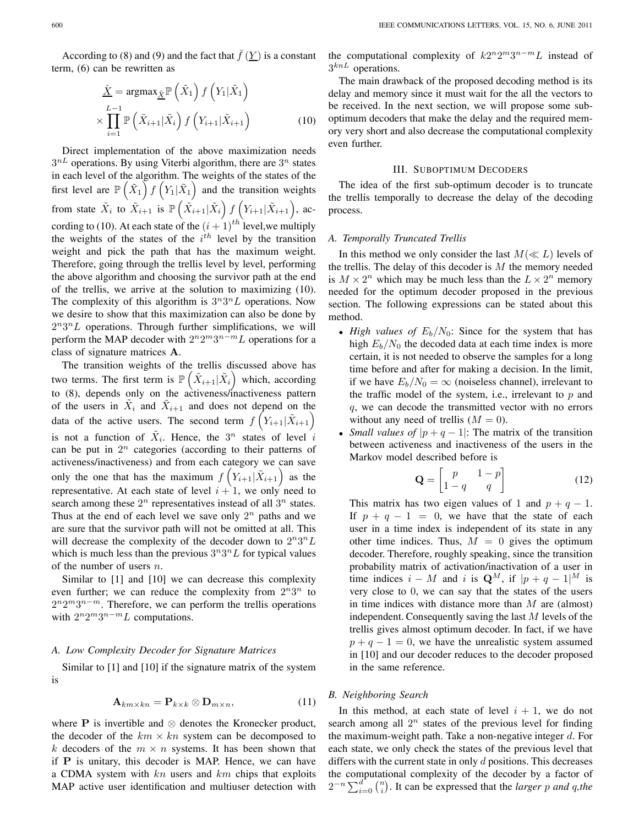According to (8) and (9) and the fact that  $\bar{f}(\underline{Y})$  is a constant term, (6) can be rewritten as

$$
\hat{\underline{X}} = \operatorname{argmax}_{\underline{\tilde{X}}} \mathbb{P}\left(\tilde{X}_1\right) f\left(Y_1 | \tilde{X}_1\right)
$$
\n
$$
\times \prod_{i=1}^{L-1} \mathbb{P}\left(\tilde{X}_{i+1} | \tilde{X}_i\right) f\left(Y_{i+1} | \tilde{X}_{i+1}\right) \tag{10}
$$

Direct implementation of the above maximization needs  $3^{nL}$  operations. By using Viterbi algorithm, there are  $3^n$  states in each level of the algorithm. The weights of the states of the first level are  $\mathbb{P}(\tilde{X}_1) f(Y_1 | \tilde{X}_1)$  and the transition weights from state  $\tilde{X}_i$  to  $\tilde{X}_{i+1}$  is  $\mathbb{P}(\tilde{X}_{i+1}|\tilde{X}_i) f(Y_{i+1}|\tilde{X}_{i+1}),$  according to (10). At each state of the  $(i + 1)^{th}$  level, we multiply the weights of the states of the  $i<sup>th</sup>$  level by the transition weight and pick the path that has the maximum weight. Therefore, going through the trellis level by level, performing the above algorithm and choosing the survivor path at the end of the trellis, we arrive at the solution to maximizing (10). The complexity of this algorithm is  $3^n 3^n L$  operations. Now we desire to show that this maximization can also be done by  $2^n 3^n L$  operations. Through further simplifications, we will perform the MAP decoder with  $2^n 2^m 3^{n-m} L$  operations for a class of signature matrices **A**.

The transition weights of the trellis discussed above has two terms. The first term is  $\mathbb{P}\left(\tilde{X}_{i+1}|\tilde{X}_i\right)$  which, according to (8), depends only on the activeness/inactiveness pattern of the users in  $\tilde{X}_i$  and  $\tilde{X}_{i+1}$  and does not depend on the data of the active users. The second term  $f(Y_{i+1}|\tilde{X}_{i+1})$ is not a function of  $\tilde{X}_i$ . Hence, the  $3^n$  states of level i can be put in  $2^n$  categories (according to their patterns of activeness/inactiveness) and from each category we can save only the one that has the maximum  $f(Y_{i+1}|\tilde{X}_{i+1})$  as the representative. At each state of level  $i + 1$ , we only need to search among these  $2^n$  representatives instead of all  $3^n$  states. Thus at the end of each level we save only  $2^n$  paths and we are sure that the survivor path will not be omitted at all. This will decrease the complexity of the decoder down to  $2^n 3^n L$ which is much less than the previous  $3^n 3^n L$  for typical values of the number of users  $n$ .

Similar to [1] and [10] we can decrease this complexity even further; we can reduce the complexity from  $2^n 3^n$  to  $2^{n}2^{m}3^{n-m}$ . Therefore, we can perform the trellis operations with  $2^n 2^m 3^{n-m} L$  computations.

## *A. Low Complexity Decoder for Signature Matrices*

Similar to [1] and [10] if the signature matrix of the system is

$$
\mathbf{A}_{km \times kn} = \mathbf{P}_{k \times k} \otimes \mathbf{D}_{m \times n},\tag{11}
$$

where **P** is invertible and  $\otimes$  denotes the Kronecker product, the decoder of the  $km \times kn$  system can be decomposed to k decoders of the  $m \times n$  systems. It has been shown that if **P** is unitary, this decoder is MAP. Hence, we can have a CDMA system with  $kn$  users and  $km$  chips that exploits MAP active user identification and multiuser detection with the computational complexity of  $k2^n2^m3^{n-m}L$  instead of  $3^{knL}$  operations.

The main drawback of the proposed decoding method is its delay and memory since it must wait for the all the vectors to be received. In the next section, we will propose some suboptimum decoders that make the delay and the required memory very short and also decrease the computational complexity even further.

#### III. SUBOPTIMUM DECODERS

The idea of the first sub-optimum decoder is to truncate the trellis temporally to decrease the delay of the decoding process.

#### *A. Temporally Truncated Trellis*

In this method we only consider the last  $M(\ll L)$  levels of the trellis. The delay of this decoder is  $M$  the memory needed is  $M \times 2^n$  which may be much less than the  $L \times 2^n$  memory needed for the optimum decoder proposed in the previous section. The following expressions can be stated about this method.

- *High values of*  $E_b/N_0$ : Since for the system that has high  $E_b/N_0$  the decoded data at each time index is more certain, it is not needed to observe the samples for a long time before and after for making a decision. In the limit, if we have  $E_b/N_0 = \infty$  (noiseless channel), irrelevant to the traffic model of the system, i.e., irrelevant to  $p$  and , we can decode the transmitted vector with no errors without any need of trellis  $(M = 0)$ .
- *Small values of*  $|p+q-1|$ : The matrix of the transition between activeness and inactiveness of the users in the Markov model described before is

$$
\mathbf{Q} = \begin{bmatrix} p & 1-p \\ 1-q & q \end{bmatrix} \tag{12}
$$

This matrix has two eigen values of 1 and  $p + q - 1$ . If  $p + q - 1 = 0$ , we have that the state of each user in a time index is independent of its state in any other time indices. Thus,  $M = 0$  gives the optimum decoder. Therefore, roughly speaking, since the transition probability matrix of activation/inactivation of a user in time indices  $i - M$  and i is  $\mathbf{Q}^{M}$ , if  $|p + q - 1|^{M}$  is very close to 0, we can say that the states of the users in time indices with distance more than  $M$  are (almost) independent. Consequently saving the last  $M$  levels of the trellis gives almost optimum decoder. In fact, if we have  $p + q - 1 = 0$ , we have the unrealistic system assumed in [10] and our decoder reduces to the decoder proposed in the same reference.

## *B. Neighboring Search*

In this method, at each state of level  $i + 1$ , we do not search among all  $2^n$  states of the previous level for finding the maximum-weight path. Take a non-negative integer  $d$ . For each state, we only check the states of the previous level that differs with the current state in only  $d$  positions. This decreases the computational complexity of the decoder by a factor of  $2^{-n} \sum_{i=0}^{d} {n \choose i}$ . It can be expressed that the *larger p* and *q*, the